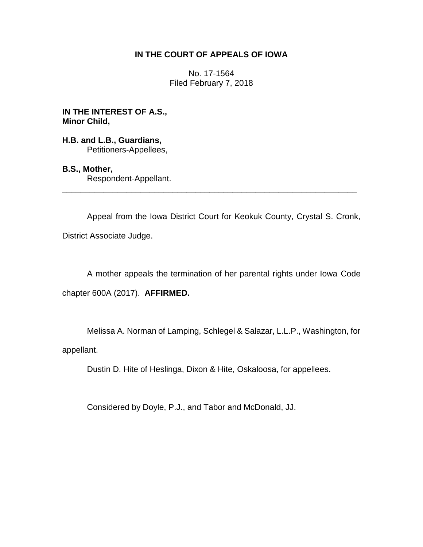## **IN THE COURT OF APPEALS OF IOWA**

No. 17-1564 Filed February 7, 2018

**IN THE INTEREST OF A.S., Minor Child,**

**H.B. and L.B., Guardians,** Petitioners-Appellees,

## **B.S., Mother,**

Respondent-Appellant. \_\_\_\_\_\_\_\_\_\_\_\_\_\_\_\_\_\_\_\_\_\_\_\_\_\_\_\_\_\_\_\_\_\_\_\_\_\_\_\_\_\_\_\_\_\_\_\_\_\_\_\_\_\_\_\_\_\_\_\_\_\_\_\_

Appeal from the Iowa District Court for Keokuk County, Crystal S. Cronk,

District Associate Judge.

A mother appeals the termination of her parental rights under Iowa Code chapter 600A (2017). **AFFIRMED.**

Melissa A. Norman of Lamping, Schlegel & Salazar, L.L.P., Washington, for appellant.

Dustin D. Hite of Heslinga, Dixon & Hite, Oskaloosa, for appellees.

Considered by Doyle, P.J., and Tabor and McDonald, JJ.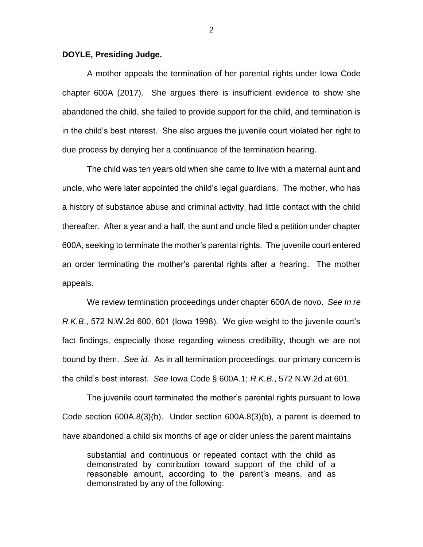## **DOYLE, Presiding Judge.**

A mother appeals the termination of her parental rights under Iowa Code chapter 600A (2017). She argues there is insufficient evidence to show she abandoned the child, she failed to provide support for the child, and termination is in the child's best interest. She also argues the juvenile court violated her right to due process by denying her a continuance of the termination hearing.

The child was ten years old when she came to live with a maternal aunt and uncle, who were later appointed the child's legal guardians. The mother, who has a history of substance abuse and criminal activity, had little contact with the child thereafter. After a year and a half, the aunt and uncle filed a petition under chapter 600A, seeking to terminate the mother's parental rights. The juvenile court entered an order terminating the mother's parental rights after a hearing. The mother appeals.

We review termination proceedings under chapter 600A de novo. *See In re R.K.B*., 572 N.W.2d 600, 601 (Iowa 1998). We give weight to the juvenile court's fact findings, especially those regarding witness credibility, though we are not bound by them. *See id.* As in all termination proceedings, our primary concern is the child's best interest. *See* Iowa Code § 600A.1; *R.K.B.*, 572 N.W.2d at 601.

The juvenile court terminated the mother's parental rights pursuant to Iowa Code section 600A.8(3)(b). Under section 600A.8(3)(b), a parent is deemed to have abandoned a child six months of age or older unless the parent maintains

substantial and continuous or repeated contact with the child as demonstrated by contribution toward support of the child of a reasonable amount, according to the parent's means, and as demonstrated by any of the following: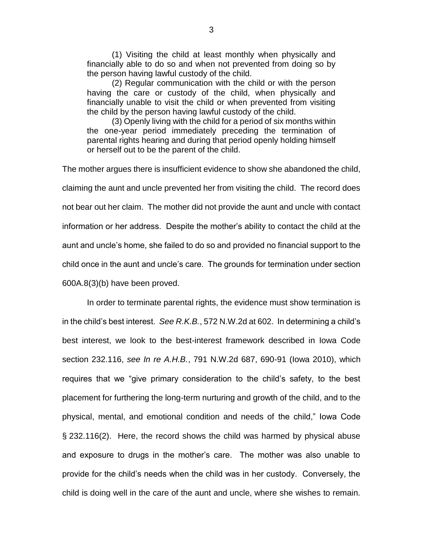(1) Visiting the child at least monthly when physically and financially able to do so and when not prevented from doing so by the person having lawful custody of the child.

(2) Regular communication with the child or with the person having the care or custody of the child, when physically and financially unable to visit the child or when prevented from visiting the child by the person having lawful custody of the child.

(3) Openly living with the child for a period of six months within the one-year period immediately preceding the termination of parental rights hearing and during that period openly holding himself or herself out to be the parent of the child.

The mother argues there is insufficient evidence to show she abandoned the child, claiming the aunt and uncle prevented her from visiting the child. The record does not bear out her claim. The mother did not provide the aunt and uncle with contact information or her address. Despite the mother's ability to contact the child at the aunt and uncle's home, she failed to do so and provided no financial support to the child once in the aunt and uncle's care. The grounds for termination under section 600A.8(3)(b) have been proved.

In order to terminate parental rights, the evidence must show termination is in the child's best interest. *See R.K.B.*, 572 N.W.2d at 602. In determining a child's best interest, we look to the best-interest framework described in Iowa Code section 232.116, *see In re A.H.B.*, 791 N.W.2d 687, 690-91 (Iowa 2010), which requires that we "give primary consideration to the child's safety, to the best placement for furthering the long-term nurturing and growth of the child, and to the physical, mental, and emotional condition and needs of the child," Iowa Code § 232.116(2). Here, the record shows the child was harmed by physical abuse and exposure to drugs in the mother's care. The mother was also unable to provide for the child's needs when the child was in her custody. Conversely, the child is doing well in the care of the aunt and uncle, where she wishes to remain.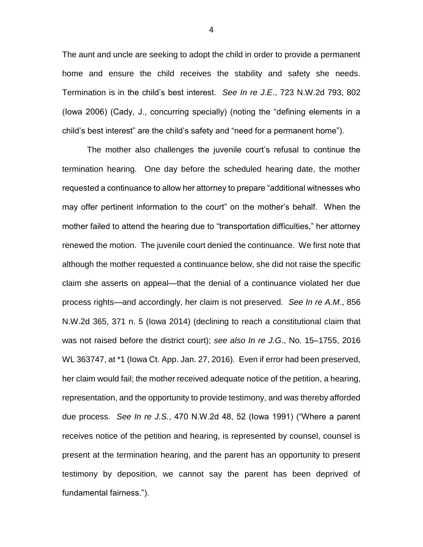The aunt and uncle are seeking to adopt the child in order to provide a permanent home and ensure the child receives the stability and safety she needs. Termination is in the child's best interest. *See In re J.E*., 723 N.W.2d 793, 802 (Iowa 2006) (Cady, J., concurring specially) (noting the "defining elements in a child's best interest" are the child's safety and "need for a permanent home").

The mother also challenges the juvenile court's refusal to continue the termination hearing. One day before the scheduled hearing date, the mother requested a continuance to allow her attorney to prepare "additional witnesses who may offer pertinent information to the court" on the mother's behalf. When the mother failed to attend the hearing due to "transportation difficulties," her attorney renewed the motion. The juvenile court denied the continuance. We first note that although the mother requested a continuance below, she did not raise the specific claim she asserts on appeal—that the denial of a continuance violated her due process rights—and accordingly, her claim is not preserved. *See In re A.M*., 856 N.W.2d 365, 371 n. 5 (Iowa 2014) (declining to reach a constitutional claim that was not raised before the district court); *see also In re J.G*., No. 15–1755, 2016 WL 363747, at \*1 (Iowa Ct. App. Jan. 27, 2016). Even if error had been preserved, her claim would fail; the mother received adequate notice of the petition, a hearing, representation, and the opportunity to provide testimony, and was thereby afforded due process. *See In re J.S.*, 470 N.W.2d 48, 52 (Iowa 1991) ("Where a parent receives notice of the petition and hearing, is represented by counsel, counsel is present at the termination hearing, and the parent has an opportunity to present testimony by deposition, we cannot say the parent has been deprived of fundamental fairness.").

4